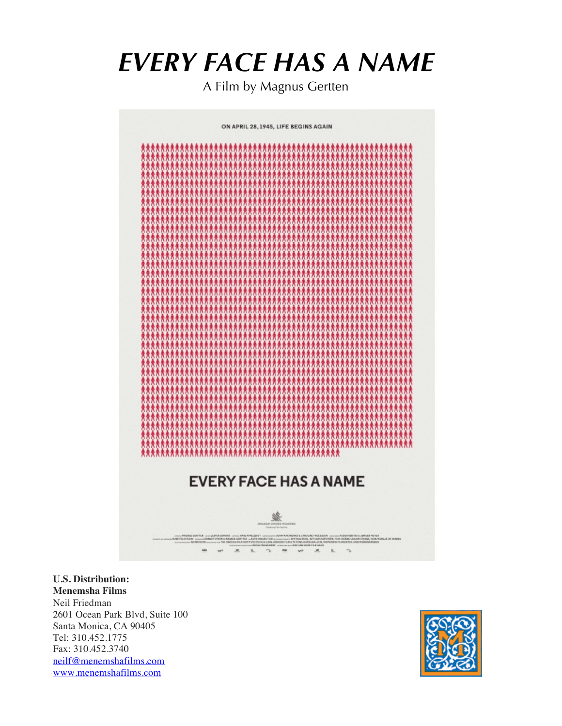# *EVERY FACE HAS A NAME*

A Film by Magnus Gertten

ON APRIL 28, 1945, LIFE BEGINS AGAIN **EVERY FACE HAS A NAME** 

**U.S. Distribution: Menemsha Films**  Neil Friedman 2601 Ocean Park Blvd, Suite 100 Santa Monica, CA 90405 Tel: 310.452.1775 Fax: 310.452.3740 neilf@menemshafilms.com www.menemshafilms.com

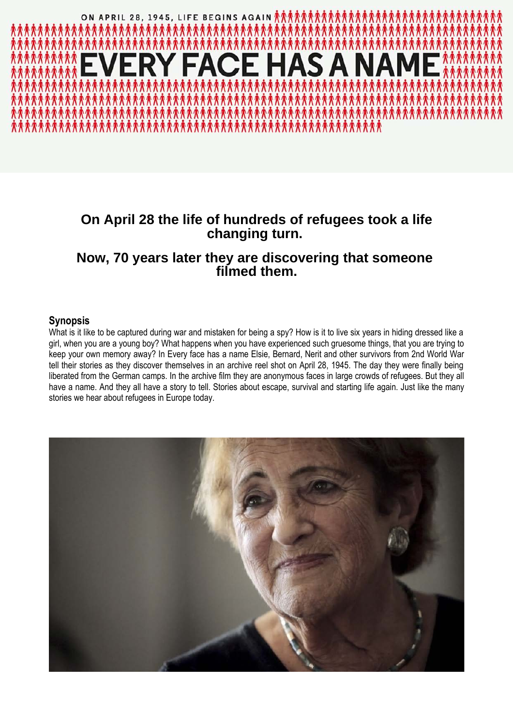

## **On April 28 the life of hundreds of refugees took a life changing turn.**

### **Now, 70 years later they are discovering that someone filmed them.**

### **Synopsis**

What is it like to be captured during war and mistaken for being a spy? How is it to live six years in hiding dressed like a girl, when you are a young boy? What happens when you have experienced such gruesome things, that you are trying to keep your own memory away? In Every face has a name Elsie, Bernard, Nerit and other survivors from 2nd World War tell their stories as they discover themselves in an archive reel shot on April 28, 1945. The day they were finally being liberated from the German camps. In the archive film they are anonymous faces in large crowds of refugees. But they all have a name. And they all have a story to tell. Stories about escape, survival and starting life again. Just like the many stories we hear about refugees in Europe today.

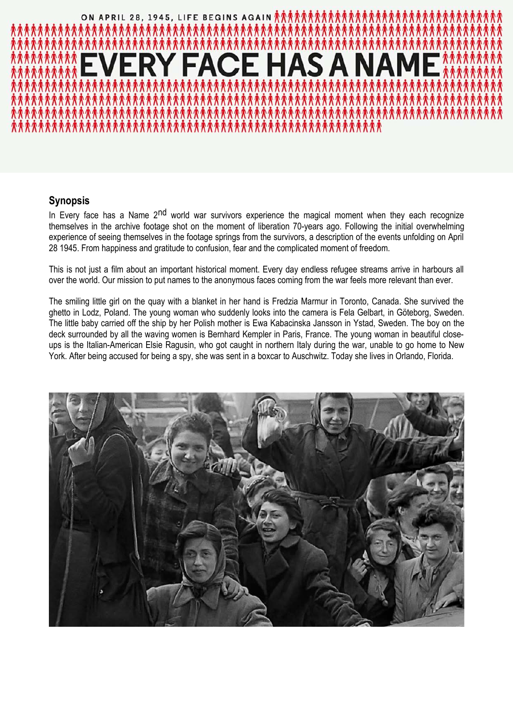

### **Synopsis**

In Every face has a Name 2<sup>nd</sup> world war survivors experience the magical moment when they each recognize themselves in the archive footage shot on the moment of liberation 70-years ago. Following the initial overwhelming experience of seeing themselves in the footage springs from the survivors, a description of the events unfolding on April 28 1945. From happiness and gratitude to confusion, fear and the complicated moment of freedom.

This is not just a film about an important historical moment. Every day endless refugee streams arrive in harbours all over the world. Our mission to put names to the anonymous faces coming from the war feels more relevant than ever.

The smiling little girl on the quay with a blanket in her hand is Fredzia Marmur in Toronto, Canada. She survived the ghetto in Lodz, Poland. The young woman who suddenly looks into the camera is Fela Gelbart, in Göteborg, Sweden. The little baby carried off the ship by her Polish mother is Ewa Kabacinska Jansson in Ystad, Sweden. The boy on the deck surrounded by all the waving women is Bernhard Kempler in Paris, France. The young woman in beautiful closeups is the Italian-American Elsie Ragusin, who got caught in northern Italy during the war, unable to go home to New York. After being accused for being a spy, she was sent in a boxcar to Auschwitz. Today she lives in Orlando, Florida.

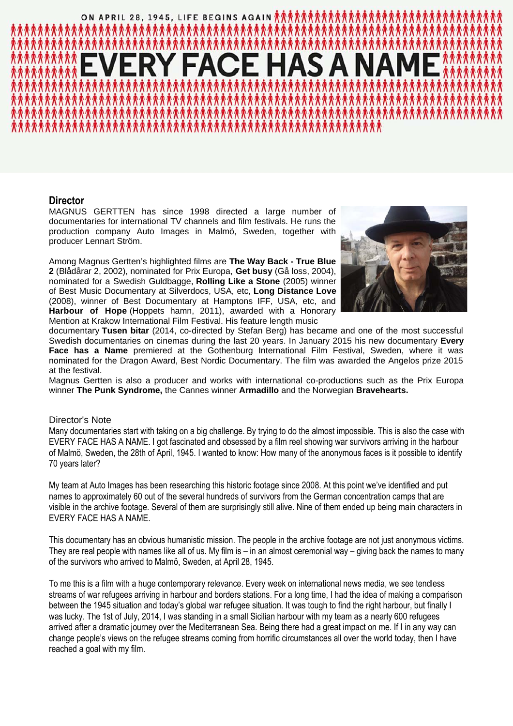# ON APRIL 28, 1945, LIFE BEGINS AGAIN **介入介入介入介入介入** E HAS A

### **Director**

MAGNUS GERTTEN has since 1998 directed a large number of documentaries for international TV channels and film festivals. He runs the production company Auto Images in Malmö, Sweden, together with producer Lennart Ström.

Among Magnus Gertten's highlighted films are **The Way Back - True Blue 2** (Blådårar 2, 2002), nominated for Prix Europa, **Get busy** (Gå loss, 2004), nominated for a Swedish Guldbagge, **Rolling Like a Stone** (2005) winner of Best Music Documentary at Silverdocs, USA, etc, **Long Distance Love** (2008), winner of Best Documentary at Hamptons IFF, USA, etc, and **Harbour of Hope** (Hoppets hamn, 2011), awarded with a Honorary Mention at Krakow International Film Festival. His feature length music



documentary **Tusen bitar** (2014, co-directed by Stefan Berg) has became and one of the most successful Swedish documentaries on cinemas during the last 20 years. In January 2015 his new documentary **Every Face has a Name** premiered at the Gothenburg International Film Festival, Sweden, where it was nominated for the Dragon Award, Best Nordic Documentary. The film was awarded the Angelos prize 2015 at the festival.

Magnus Gertten is also a producer and works with international co-productions such as the Prix Europa winner **The Punk Syndrome,** the Cannes winner **Armadillo** and the Norwegian **Bravehearts.**

### Director's Note

Many documentaries start with taking on a big challenge. By trying to do the almost impossible. This is also the case with EVERY FACE HAS A NAME. I got fascinated and obsessed by a film reel showing war survivors arriving in the harbour of Malmö, Sweden, the 28th of April, 1945. I wanted to know: How many of the anonymous faces is it possible to identify 70 years later?

My team at Auto Images has been researching this historic footage since 2008. At this point we've identified and put names to approximately 60 out of the several hundreds of survivors from the German concentration camps that are visible in the archive footage. Several of them are surprisingly still alive. Nine of them ended up being main characters in EVERY FACE HAS A NAME.

This documentary has an obvious humanistic mission. The people in the archive footage are not just anonymous victims. They are real people with names like all of us. My film is – in an almost ceremonial way – giving back the names to many of the survivors who arrived to Malmö, Sweden, at April 28, 1945.

To me this is a film with a huge contemporary relevance. Every week on international news media, we see tendless streams of war refugees arriving in harbour and borders stations. For a long time, I had the idea of making a comparison between the 1945 situation and today's global war refugee situation. It was tough to find the right harbour, but finally I was lucky. The 1st of July, 2014, I was standing in a small Sicilian harbour with my team as a nearly 600 refugees arrived after a dramatic journey over the Mediterranean Sea. Being there had a great impact on me. If I in any way can change people's views on the refugee streams coming from horrific circumstances all over the world today, then I have reached a goal with my film.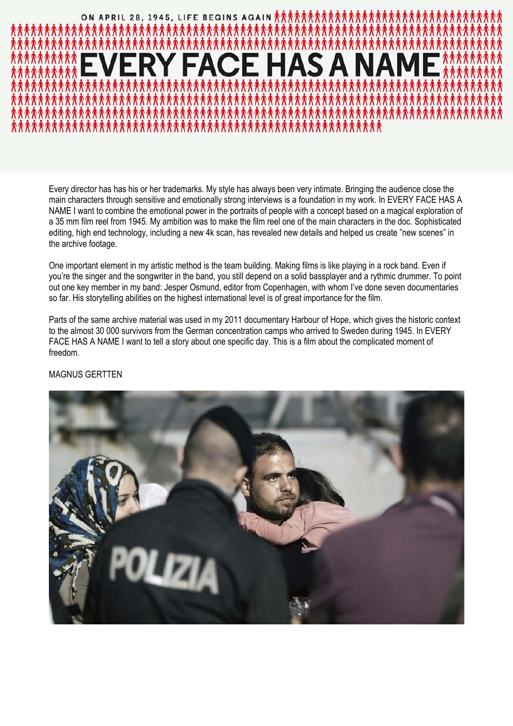

Every director has has his or her trademarks. My style has always been very intimate. Bringing the audience close the main characters through sensitive and emotionally strong interviews is a foundation in my work. In EVERY FACE HAS A NAME I want to combine the emotional power in the portraits of people with a concept based on a magical exploration of a 35 mm film reel from 1945. My ambition was to make the film reel one of the main characters in the doc. Sophisticated editing, high end technology, including a new 4k scan, has revealed new details and helped us create "new scenes" in the archive footage.

One important element in my artistic method is the team building. Making films is like playing in a rock band. Even if you're the singer and the songwriter in the band, you still depend on a solid bassplayer and a rythmic drummer. To point out one key member in my band: Jesper Osmund, editor from Copenhagen, with whom I've done seven documentaries so far. His storytelling abilities on the highest international level is of great importance for the film.

Parts of the same archive material was used in my 2011 documentary Harbour of Hope, which gives the historic context to the almost 30 000 survivors from the German concentration camps who arrived to Sweden during 1945. In EVERY FACE HAS A NAME I want to tell a story about one specific day. This is a film about the complicated moment of freedom.

MAGNUS GERTTEN

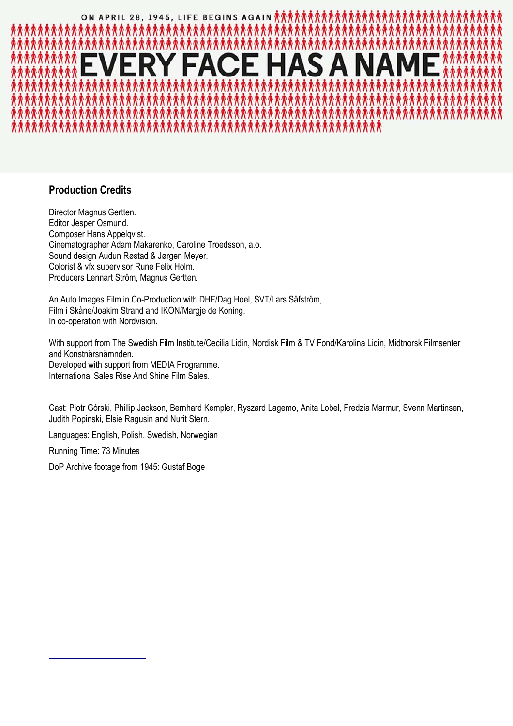

### **Production Credits**

Director Magnus Gertten. Editor Jesper Osmund. Composer Hans Appelqvist. Cinematographer Adam Makarenko, Caroline Troedsson, a.o. Sound design Audun Røstad & Jørgen Meyer. Colorist & vfx supervisor Rune Felix Holm. Producers Lennart Ström, Magnus Gertten.

An Auto Images Film in Co-Production with DHF/Dag Hoel, SVT/Lars Säfström, Film i Skåne/Joakim Strand and IKON/Margje de Koning. In co-operation with Nordvision.

With support from The Swedish Film Institute/Cecilia Lidin, Nordisk Film & TV Fond/Karolina Lidin, Midtnorsk Filmsenter and Konstnärsnämnden. Developed with support from MEDIA Programme. International Sales Rise And Shine Film Sales.

Cast: Piotr Górski, Phillip Jackson, Bernhard Kempler, Ryszard Lagemo, Anita Lobel, Fredzia Marmur, Svenn Martinsen, Judith Popinski, Elsie Ragusin and Nurit Stern.

Languages: English, Polish, Swedish, Norwegian

Running Time: 73 Minutes

DoP Archive footage from 1945: Gustaf Boge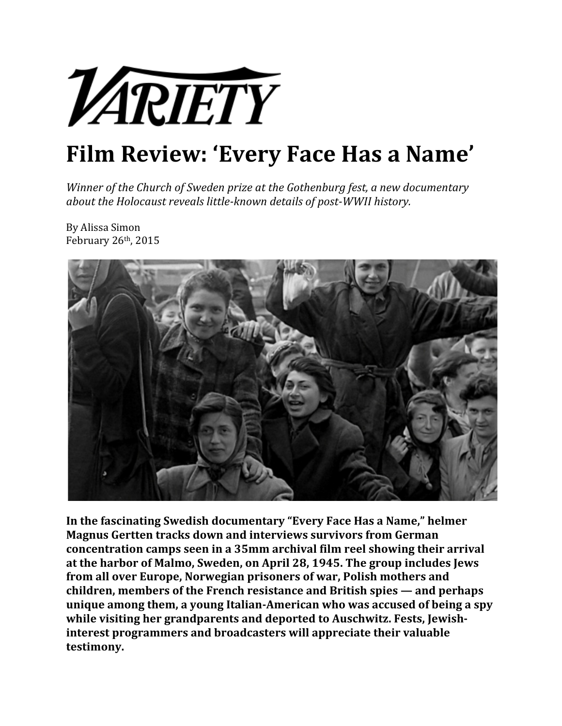

## **Film Review: 'Every Face Has a Name'**

*Winner of the Church of Sweden prize at the Gothenburg fest, a new documentary about&the&Holocaust&reveals&little>known&details&of&post>WWII&history.*

By Alissa Simon February 26th, 2015



In the fascinating Swedish documentary "Every Face Has a Name," helmer **Magnus Gertten tracks down and interviews survivors from German concentration camps seen in a 35mm archival film reel showing their arrival** at the harbor of Malmo, Sweden, on April 28, 1945. The group includes Jews from all over Europe, Norwegian prisoners of war, Polish mothers and children, members of the French resistance and British spies — and perhaps unique among them, a young Italian-American who was accused of being a spy while visiting her grandparents and deported to Auschwitz. Fests, Jewish**interest programmers and broadcasters will appreciate their valuable testimony.**